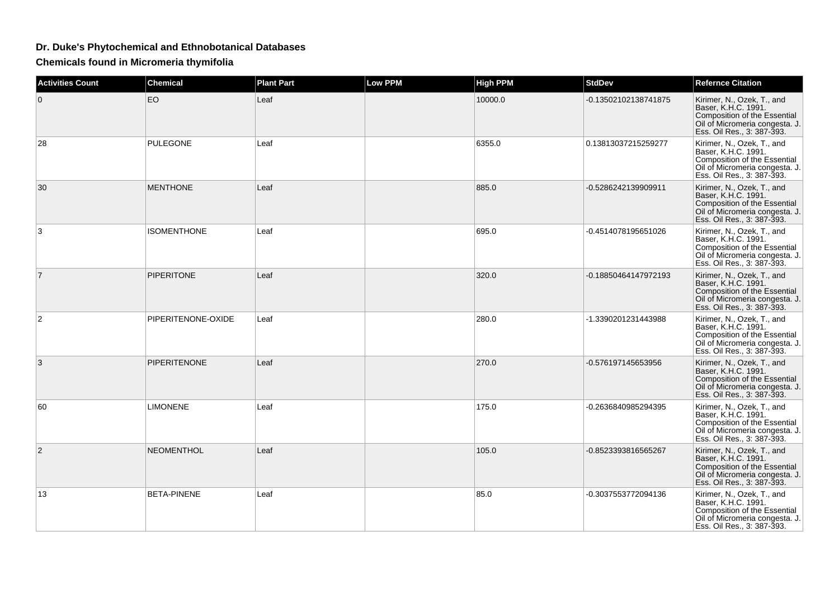## **Dr. Duke's Phytochemical and Ethnobotanical Databases**

**Chemicals found in Micromeria thymifolia**

| <b>Activities Count</b> | <b>Chemical</b>     | <b>Plant Part</b> | <b>Low PPM</b> | <b>High PPM</b> | <b>StdDev</b>        | <b>Refernce Citation</b>                                                                                                                                 |
|-------------------------|---------------------|-------------------|----------------|-----------------|----------------------|----------------------------------------------------------------------------------------------------------------------------------------------------------|
| 0                       | EO                  | Leaf              |                | 10000.0         | -0.13502102138741875 | Kirimer, N., Ozek, T., and<br>Baser, K.H.C. 1991.<br>Composition of the Essential<br>Oil of Micromeria congesta. J.<br>Ess. Oil Res., 3: 387-393.        |
| 28                      | <b>PULEGONE</b>     | Leaf              |                | 6355.0          | 0.13813037215259277  | Kirimer, N., Ozek, T., and<br>Baser, K.H.C. 1991.<br><b>Composition of the Essential</b><br>Oil of Micromeria congesta. J.<br>Ess. Oil Res., 3: 387-393. |
| 30                      | <b>MENTHONE</b>     | Leaf              |                | 885.0           | -0.5286242139909911  | Kirimer, N., Ozek, T., and<br>Baser, K.H.C. 1991.<br>Composition of the Essential<br>Oil of Micromeria congesta. J.<br>Ess. Oil Res., 3: 387-393.        |
| 3                       | <b>ISOMENTHONE</b>  | Leaf              |                | 695.0           | -0.4514078195651026  | Kirimer, N., Ozek, T., and<br>Baser, K.H.C. 1991.<br>Composition of the Essential<br>Oil of Micromeria congesta. J.<br>Ess. Oil Res., 3: 387-393.        |
| $\overline{7}$          | <b>PIPERITONE</b>   | Leaf              |                | 320.0           | -0.18850464147972193 | Kirimer, N., Ozek, T., and<br>Baser, K.H.C. 1991.<br>Composition of the Essential<br>Oil of Micromeria congesta. J.<br>Ess. Oil Res., 3: 387-393.        |
| $\overline{2}$          | PIPERITENONE-OXIDE  | Leaf              |                | 280.0           | -1.3390201231443988  | Kirimer, N., Ozek, T., and<br>Baser, K.H.C. 1991.<br>Composition of the Essential<br>Oil of Micromeria congesta. J.<br>Ess. Oil Res., 3: 387-393.        |
| 3                       | <b>PIPERITENONE</b> | Leaf              |                | 270.0           | -0.576197145653956   | Kirimer, N., Ozek, T., and<br>Baser, K.H.C. 1991.<br>Composition of the Essential<br>Oil of Micromeria congesta. J.<br>Ess. Oil Res., 3: 387-393.        |
| 60                      | <b>LIMONENE</b>     | Leaf              |                | 175.0           | -0.2636840985294395  | Kirimer, N., Ozek, T., and<br>Baser, K.H.C. 1991.<br>Composition of the Essential<br>Oil of Micromeria congesta. J.<br>Ess. Oil Res., 3: 387-393.        |
| $\overline{2}$          | <b>NEOMENTHOL</b>   | Leaf              |                | 105.0           | -0.8523393816565267  | Kirimer, N., Ozek, T., and<br>Baser, K.H.C. 1991.<br>Composition of the Essential<br>Oil of Micromeria congesta. J.<br>Ess. Oil Res., 3: 387-393.        |
| 13                      | <b>BETA-PINENE</b>  | Leaf              |                | 85.0            | -0.3037553772094136  | Kirimer, N., Ozek, T., and<br>Baser, K.H.C. 1991.<br>Composition of the Essential<br>Oil of Micromeria congesta. J.<br>Ess. Oil Res., 3: 387-393.        |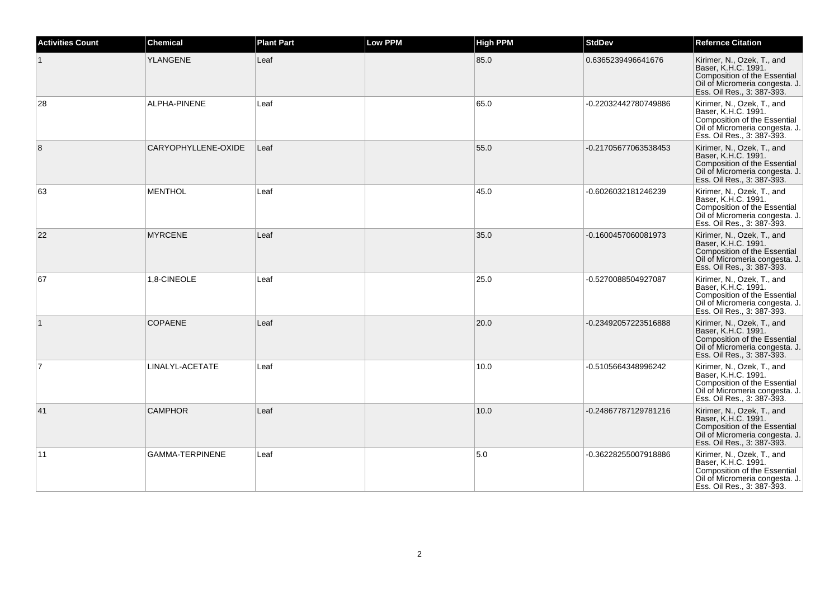| <b>Activities Count</b> | <b>Chemical</b>     | <b>Plant Part</b> | <b>Low PPM</b> | <b>High PPM</b> | <b>StdDev</b>        | <b>Refernce Citation</b>                                                                                                                          |
|-------------------------|---------------------|-------------------|----------------|-----------------|----------------------|---------------------------------------------------------------------------------------------------------------------------------------------------|
|                         | <b>YLANGENE</b>     | Leaf              |                | 85.0            | 0.6365239496641676   | Kirimer, N., Ozek, T., and<br>Baser, K.H.C. 1991.<br>Composition of the Essential<br>Oil of Micromeria congesta. J.<br>Ess. Oil Res., 3: 387-393. |
| 28                      | ALPHA-PINENE        | Leaf              |                | 65.0            | -0.22032442780749886 | Kirimer, N., Ozek, T., and<br>Baser, K.H.C. 1991.<br>Composition of the Essential<br>Oil of Micromeria congesta. J.<br>Ess. Oil Res., 3: 387-393. |
| 8                       | CARYOPHYLLENE-OXIDE | Leaf              |                | 55.0            | -0.21705677063538453 | Kirimer, N., Ozek, T., and<br>Baser, K.H.C. 1991.<br>Composition of the Essential<br>Oil of Micromeria congesta. J.<br>Ess. Oil Res., 3: 387-393. |
| 63                      | <b>MENTHOL</b>      | Leaf              |                | 45.0            | -0.6026032181246239  | Kirimer, N., Ozek, T., and<br>Baser, K.H.C. 1991.<br>Composition of the Essential<br>Oil of Micromeria congesta. J.<br>Ess. Oil Res., 3: 387-393. |
| 22                      | <b>MYRCENE</b>      | Leaf              |                | 35.0            | -0.1600457060081973  | Kirimer, N., Ozek, T., and<br>Baser, K.H.C. 1991.<br>Composition of the Essential<br>Oil of Micromeria congesta. J.<br>Ess. Oil Res., 3: 387-393. |
| 67                      | 1.8-CINEOLE         | Leaf              |                | 25.0            | -0.5270088504927087  | Kirimer, N., Ozek, T., and<br>Baser, K.H.C. 1991.<br>Composition of the Essential<br>Oil of Micromeria congesta. J.<br>Ess. Oil Res., 3: 387-393. |
| $\mathbf{1}$            | <b>COPAENE</b>      | Leaf              |                | 20.0            | -0.23492057223516888 | Kirimer, N., Ozek, T., and<br>Baser, K.H.C. 1991.<br>Composition of the Essential<br>Oil of Micromeria congesta. J.<br>Ess. Oil Res., 3: 387-393. |
| $\overline{7}$          | LINALYL-ACETATE     | Leaf              |                | 10.0            | -0.5105664348996242  | Kirimer, N., Ozek, T., and<br>Baser, K.H.C. 1991.<br>Composition of the Essential<br>Oil of Micromeria congesta. J.<br>Ess. Oil Res., 3: 387-393. |
| 41                      | <b>CAMPHOR</b>      | Leaf              |                | 10.0            | -0.24867787129781216 | Kirimer, N., Ozek, T., and<br>Baser, K.H.C. 1991.<br>Composition of the Essential<br>Oil of Micromeria congesta. J.<br>Ess. Oil Res., 3: 387-393. |
| 11                      | GAMMA-TERPINENE     | Leaf              |                | 5.0             | -0.36228255007918886 | Kirimer, N., Ozek, T., and<br>Baser, K.H.C. 1991.<br>Composition of the Essential<br>Oil of Micromeria congesta. J.<br>Ess. Oil Res., 3: 387-393. |